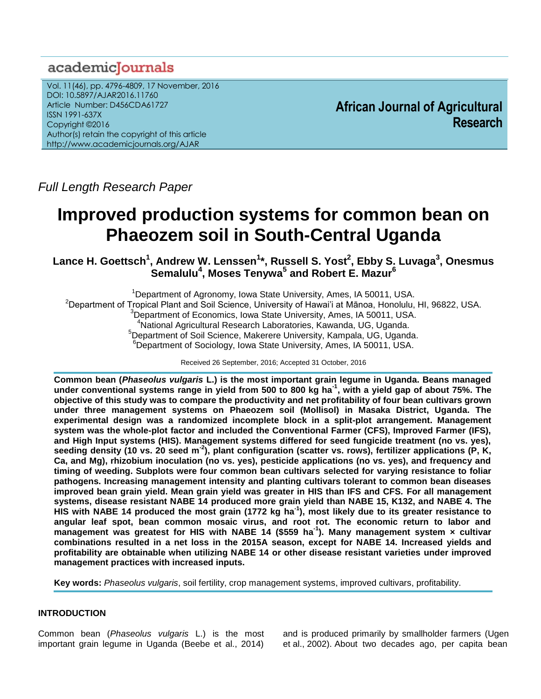# academicJournals

Vol. 11(46), pp. 4796-4809, 17 November, 2016 DOI: 10.5897/AJAR2016.11760 Article Number: D456CDA61727 ISSN 1991-637X Copyright ©2016 Author(s) retain the copyright of this article http://www.academicjournals.org/AJAR

**African Journal of Agricultural Research**

*Full Length Research Paper*

# **Improved production systems for common bean on Phaeozem soil in South-Central Uganda**

**Lance H. Goettsch<sup>1</sup> , Andrew W. Lenssen<sup>1</sup> \*, Russell S. Yost<sup>2</sup> , Ebby S. Luvaga<sup>3</sup> , Onesmus Semalulu<sup>4</sup> , Moses Tenywa<sup>5</sup> and Robert E. Mazur<sup>6</sup>**

<sup>1</sup>Department of Agronomy, Iowa State University, Ames, IA 50011, USA. <sup>2</sup>Department of Tropical Plant and Soil Science, University of Hawai'i at Mānoa, Honolulu, HI, 96822, USA. <sup>3</sup>Department of Economics, Iowa State University, Ames, IA 50011, USA. <sup>4</sup>National Agricultural Research Laboratories, Kawanda, UG, Uganda. <sup>5</sup>Department of Soil Science, Makerere University, Kampala, UG, Uganda. <sup>6</sup>Department of Sociology, Iowa State University, Ames, IA 50011, USA.

Received 26 September, 2016; Accepted 31 October, 2016

**Common bean (***Phaseolus vulgaris* **L.) is the most important grain legume in Uganda. Beans managed under conventional systems range in yield from 500 to 800 kg ha-1 , with a yield gap of about 75%. The objective of this study was to compare the productivity and net profitability of four bean cultivars grown under three management systems on Phaeozem soil (Mollisol) in Masaka District, Uganda. The experimental design was a randomized incomplete block in a split-plot arrangement. Management system was the whole-plot factor and included the Conventional Farmer (CFS), Improved Farmer (IFS), and High Input systems (HIS). Management systems differed for seed fungicide treatment (no vs. yes), seeding density (10 vs. 20 seed m-2 ), plant configuration (scatter vs. rows), fertilizer applications (P, K, Ca, and Mg), rhizobium inoculation (no vs. yes), pesticide applications (no vs. yes), and frequency and timing of weeding. Subplots were four common bean cultivars selected for varying resistance to foliar pathogens. Increasing management intensity and planting cultivars tolerant to common bean diseases improved bean grain yield. Mean grain yield was greater in HIS than IFS and CFS. For all management systems, disease resistant NABE 14 produced more grain yield than NABE 15, K132, and NABE 4. The HIS with NABE 14 produced the most grain (1772 kg ha-1 ), most likely due to its greater resistance to angular leaf spot, bean common mosaic virus, and root rot. The economic return to labor and management was greatest for HIS with NABE 14 (\$559 ha-1 ). Many management system × cultivar combinations resulted in a net loss in the 2015A season, except for NABE 14. Increased yields and profitability are obtainable when utilizing NABE 14 or other disease resistant varieties under improved management practices with increased inputs.**

**Key words:** *Phaseolus vulgaris*, soil fertility, crop management systems, improved cultivars, profitability.

# **INTRODUCTION**

Common bean (*Phaseolus vulgaris* L.) is the most important grain legume in Uganda (Beebe et al., 2014)

and is produced primarily by smallholder farmers (Ugen et al., 2002). About two decades ago, per capita bean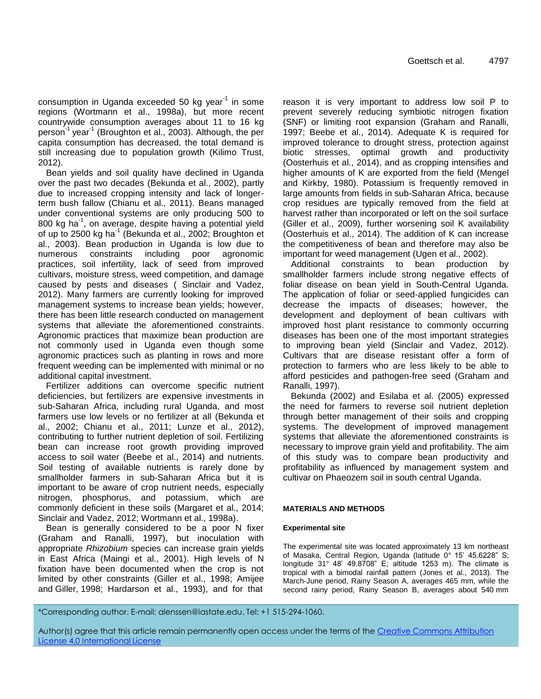consumption in Uganda exceeded 50 kg year<sup>-1</sup> in some regions (Wortmann et al., 1998a), but more recent countrywide consumption averages about 11 to 16 kg person<sup>-1</sup> year<sup>-1</sup> (Broughton et al., 2003). Although, the per capita consumption has decreased, the total demand is still increasing due to population growth (Kilimo Trust, 2012).

Bean yields and soil quality have declined in Uganda over the past two decades (Bekunda et al., 2002), partly due to increased cropping intensity and lack of longerterm bush fallow (Chianu et al., 2011). Beans managed under conventional systems are only producing 500 to 800 kg ha $^{-1}$ , on average, despite having a potential yield of up to 2500 kg ha<sup>-1</sup> (Bekunda et al., 2002; Broughton et al., 2003). Bean production in Uganda is low due to numerous constraints including poor agronomic practices, soil infertility, lack of seed from improved cultivars, moisture stress, weed competition, and damage caused by pests and diseases ( Sinclair and Vadez, 2012). Many farmers are currently looking for improved management systems to increase bean yields; however, there has been little research conducted on management systems that alleviate the aforementioned constraints. Agronomic practices that maximize bean production are not commonly used in Uganda even though some agronomic practices such as planting in rows and more frequent weeding can be implemented with minimal or no additional capital investment.

Fertilizer additions can overcome specific nutrient deficiencies, but fertilizers are expensive investments in sub-Saharan Africa, including rural Uganda, and most farmers use low levels or no fertilizer at all (Bekunda et al., 2002; Chianu et al., 2011; Lunze et al., 2012), contributing to further nutrient depletion of soil. Fertilizing bean can increase root growth providing improved access to soil water (Beebe et al., 2014) and nutrients. Soil testing of available nutrients is rarely done by smallholder farmers in sub-Saharan Africa but it is important to be aware of crop nutrient needs, especially nitrogen, phosphorus, and potassium, which are commonly deficient in these soils (Margaret et al., 2014; Sinclair and Vadez, 2012; Wortmann et al., 1998a).

Bean is generally considered to be a poor N fixer (Graham and Ranalli, 1997), but inoculation with appropriate *Rhizobium* species can increase grain yields in East Africa (Maingi et al., 2001). High levels of N fixation have been documented when the crop is not limited by other constraints (Giller et al., 1998; Amijee and Giller, 1998; Hardarson et al., 1993), and for that

reason it is very important to address low soil P to prevent severely reducing symbiotic nitrogen fixation (SNF) or limiting root expansion (Graham and Ranalli, 1997; Beebe et al., 2014). Adequate K is required for improved tolerance to drought stress, protection against biotic stresses, optimal growth and productivity (Oosterhuis et al., 2014), and as cropping intensifies and higher amounts of K are exported from the field (Mengel and Kirkby, 1980). Potassium is frequently removed in large amounts from fields in sub-Saharan Africa, because crop residues are typically removed from the field at harvest rather than incorporated or left on the soil surface (Giller et al., 2009), further worsening soil K availability (Oosterhuis et al., 2014). The addition of K can increase the competitiveness of bean and therefore may also be important for weed management (Ugen et al., 2002).

Additional constraints to bean production by smallholder farmers include strong negative effects of foliar disease on bean yield in South-Central Uganda. The application of foliar or seed-applied fungicides can decrease the impacts of diseases; however, the development and deployment of bean cultivars with improved host plant resistance to commonly occurring diseases has been one of the most important strategies to improving bean yield (Sinclair and Vadez, 2012). Cultivars that are disease resistant offer a form of protection to farmers who are less likely to be able to afford pesticides and pathogen-free seed (Graham and Ranalli, 1997).

Bekunda (2002) and Esilaba et al. (2005) expressed the need for farmers to reverse soil nutrient depletion through better management of their soils and cropping systems. The development of improved management systems that alleviate the aforementioned constraints is necessary to improve grain yield and profitability. The aim of this study was to compare bean productivity and profitability as influenced by management system and cultivar on Phaeozem soil in south central Uganda.

#### **MATERIALS AND METHODS**

#### **Experimental site**

The experimental site was located approximately 13 km northeast of Masaka, Central Region, Uganda (latitude 0° 15' 45.6228" S; longitude 31° 48' 49.8708" E; altitude 1253 m). The climate is tropical with a bimodal rainfall pattern (Jones et al., 2013). The March-June period, Rainy Season A, averages 465 mm, while the second rainy period, Rainy Season B, averages about 540 mm

\*Corresponding author. E-mail: alenssen@iastate.edu. Tel: +1 515-294-1060.

Author(s) agree that this article remain permanently open access under the terms of the Creative Commons Attribution License 4.0 [International](http://creativecommons.org/licenses/by/4.0/deed.en_US) License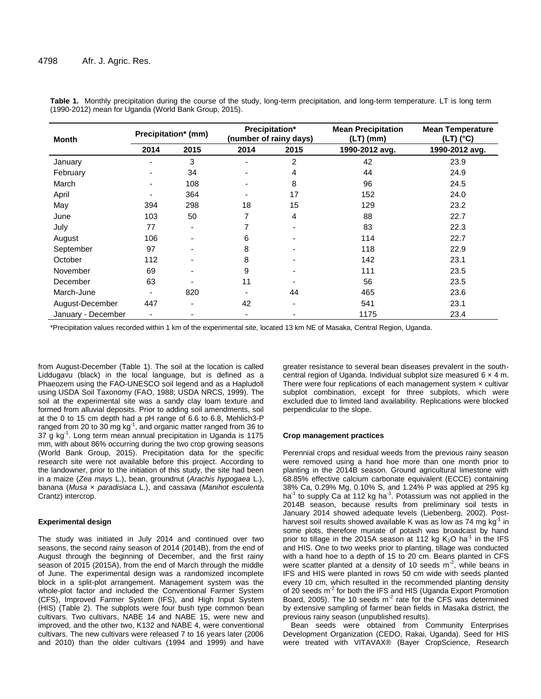| <b>Month</b>       |                          | Precipitation* (mm) |      | Precipitation*<br>(number of rainy days) | <b>Mean Precipitation</b><br>$(LT)$ (mm) | <b>Mean Temperature</b><br>(LT) (°C) |  |
|--------------------|--------------------------|---------------------|------|------------------------------------------|------------------------------------------|--------------------------------------|--|
|                    | 2014                     | 2015                | 2014 | 2015                                     | 1990-2012 avg.                           | 1990-2012 avg.                       |  |
| January            |                          | 3                   |      | 2                                        | 42                                       | 23.9                                 |  |
| February           |                          | 34                  |      | 4                                        | 44                                       | 24.9                                 |  |
| March              | $\overline{\phantom{0}}$ | 108                 |      | 8                                        | 96                                       | 24.5                                 |  |
| April              |                          | 364                 |      | 17                                       | 152                                      | 24.0                                 |  |
| May                | 394                      | 298                 | 18   | 15                                       | 129                                      | 23.2                                 |  |
| June               | 103                      | 50                  | 7    | 4                                        | 88                                       | 22.7                                 |  |
| July               | 77                       | ۰                   |      | ۰                                        | 83                                       | 22.3                                 |  |
| August             | 106                      |                     | 6    |                                          | 114                                      | 22.7                                 |  |
| September          | 97                       |                     | 8    |                                          | 118                                      | 22.9                                 |  |
| October            | 112                      |                     | 8    |                                          | 142                                      | 23.1                                 |  |
| November           | 69                       |                     | 9    |                                          | 111                                      | 23.5                                 |  |
| December           | 63                       |                     | 11   |                                          | 56                                       | 23.5                                 |  |
| March-June         | ٠                        | 820                 |      | 44                                       | 465                                      | 23.6                                 |  |
| August-December    | 447                      |                     | 42   |                                          | 541                                      | 23.1                                 |  |
| January - December | $\blacksquare$           |                     |      |                                          | 1175                                     | 23.4                                 |  |

**Table 1.** Monthly precipitation during the course of the study, long-term precipitation, and long-term temperature. LT is long term (1990-2012) mean for Uganda (World Bank Group, 2015).

\*Precipitation values recorded within 1 km of the experimental site, located 13 km NE of Masaka, Central Region, Uganda.

from August-December (Table 1). The soil at the location is called Liddugavu (black) in the local language, but is defined as a Phaeozem using the FAO-UNESCO soil legend and as a Hapludoll using USDA Soil Taxonomy (FAO, 1988; USDA NRCS, 1999). The soil at the experimental site was a sandy clay loam texture and formed from alluvial deposits. Prior to adding soil amendments, soil at the 0 to 15 cm depth had a pH range of 6.6 to 6.8, Mehlich3-P ranged from 20 to 30 mg  $kg<sup>-1</sup>$ , and organic matter ranged from 36 to 37 g kg-1 . Long term mean annual precipitation in Uganda is 1175 mm, with about 86% occurring during the two crop growing seasons (World Bank Group, 2015). Precipitation data for the specific research site were not available before this project. According to the landowner, prior to the initiation of this study, the site had been in a maize (*Zea mays* L.), bean, groundnut (*Arachis hypogaea* L.), banana (*Musa* × *paradisiaca* L.), and cassava (*Manihot esculenta* Crantz) intercrop.

#### **Experimental design**

The study was initiated in July 2014 and continued over two seasons, the second rainy season of 2014 (2014B), from the end of August through the beginning of December, and the first rainy season of 2015 (2015A), from the end of March through the middle of June. The experimental design was a randomized incomplete block in a split-plot arrangement. Management system was the whole-plot factor and included the Conventional Farmer System (CFS), Improved Farmer System (IFS), and High Input System (HIS) (Table 2). The subplots were four bush type common bean cultivars. Two cultivars, NABE 14 and NABE 15, were new and improved, and the other two, K132 and NABE 4, were conventional cultivars. The new cultivars were released 7 to 16 years later (2006 and 2010) than the older cultivars (1994 and 1999) and have

greater resistance to several bean diseases prevalent in the southcentral region of Uganda. Individual subplot size measured 6 × 4 m. There were four replications of each management system  $\times$  cultivar subplot combination, except for three subplots, which were excluded due to limited land availability. Replications were blocked perpendicular to the slope.

#### **Crop management practices**

Perennial crops and residual weeds from the previous rainy season were removed using a hand hoe more than one month prior to planting in the 2014B season. Ground agricultural limestone with 68.85% effective calcium carbonate equivalent (ECCE) containing 38% Ca, 0.29% Mg, 0.10% S, and 1.24% P was applied at 295 kg ha<sup>-1</sup> to supply Ca at 112 kg ha<sup>-1</sup>. Potassium was not applied in the 2014B season, because results from preliminary soil tests in January 2014 showed adequate levels (Liebenberg, 2002). Postharvest soil results showed available K was as low as 74 mg kg<sup>-1</sup> in some plots, therefore muriate of potash was broadcast by hand prior to tillage in the 2015A season at 112 kg  $K_2O$  ha<sup>-1</sup> in the IFS and HIS. One to two weeks prior to planting, tillage was conducted with a hand hoe to a depth of 15 to 20 cm. Beans planted in CFS were scatter planted at a density of 10 seeds  $m^2$ , while beans in IFS and HIS were planted in rows 50 cm wide with seeds planted every 10 cm, which resulted in the recommended planting density of 20 seeds m<sup>-2</sup> for both the IFS and HIS (Uganda Export Promotion Board, 2005). The 10 seeds  $m^2$  rate for the CFS was determined by extensive sampling of farmer bean fields in Masaka district, the previous rainy season (unpublished results).

Bean seeds were obtained from Community Enterprises Development Organization (CEDO, Rakai, Uganda). Seed for HIS were treated with VITAVAX® (Bayer CropScience, Research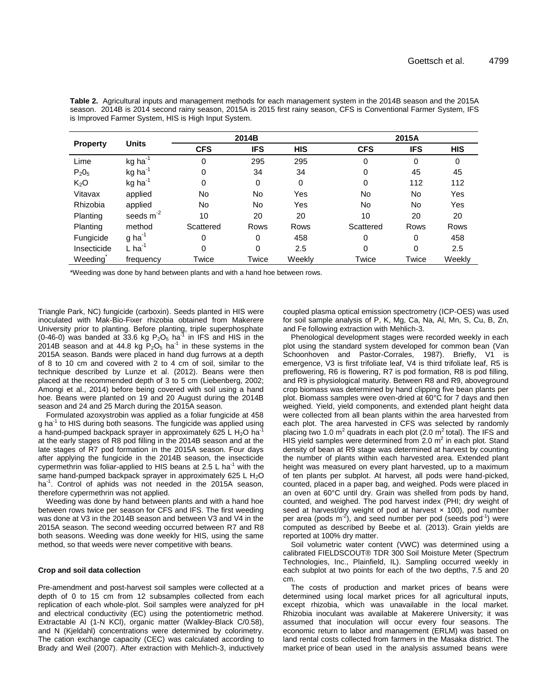**Table 2.** Agricultural inputs and management methods for each management system in the 2014B season and the 2015A season. 2014B is 2014 second rainy season, 2015A is 2015 first rainy season, CFS is Conventional Farmer System, IFS is Improved Farmer System, HIS is High Input System.

|                  | <b>Units</b>          |            | 2014B      |             | 2015A      |            |            |
|------------------|-----------------------|------------|------------|-------------|------------|------------|------------|
| <b>Property</b>  |                       | <b>CFS</b> | <b>IFS</b> | <b>HIS</b>  | <b>CFS</b> | <b>IFS</b> | <b>HIS</b> |
| Lime             | $kg$ ha <sup>-1</sup> | 0          | 295        | 295         | 0          | 0          | 0          |
| $P_2O_5$         | $kg$ ha <sup>-1</sup> | 0          | 34         | 34          | 0          | 45         | 45         |
| K <sub>2</sub> O | $kg$ ha <sup>-1</sup> | 0          | 0          | 0           | 0          | 112        | 112        |
| Vitavax          | applied               | No         | No         | Yes         | No         | No         | Yes        |
| Rhizobia         | applied               | No         | No         | Yes         | No         | No         | Yes        |
| <b>Planting</b>  | seeds $m-2$           | 10         | 20         | 20          | 10         | 20         | 20         |
| <b>Planting</b>  | method                | Scattered  | Rows       | <b>Rows</b> | Scattered  | Rows       | Rows       |
| Fungicide        | $g$ ha <sup>-1</sup>  | 0          | 0          | 458         | 0          | 0          | 458        |
| Insecticide      | $L$ ha <sup>-1</sup>  | 0          | 0          | 2.5         | 0          | 0          | 2.5        |
| Weeding          | frequency             | Twice      | Twice      | Weekly      | Twice      | Twice      | Weekly     |

\*Weeding was done by hand between plants and with a hand hoe between rows.

Triangle Park, NC) fungicide (carboxin). Seeds planted in HIS were inoculated with Mak-Bio-Fixer rhizobia obtained from Makerere University prior to planting. Before planting, triple superphosphate (0-46-0) was banded at 33.6 kg  $P_2O_5$  ha<sup>-1</sup> in IFS and HIS in the 2014B season and at 44.8 kg  $P_2O_5$  ha<sup>-1</sup> in these systems in the 2015A season. Bands were placed in hand dug furrows at a depth of 8 to 10 cm and covered with 2 to 4 cm of soil, similar to the technique described by Lunze et al. (2012). Beans were then placed at the recommended depth of 3 to 5 cm (Liebenberg, 2002; Amongi et al., 2014) before being covered with soil using a hand hoe. Beans were planted on 19 and 20 August during the 2014B season and 24 and 25 March during the 2015A season.

Formulated azoxystrobin was applied as a foliar fungicide at 458 g ha<sup>-1</sup> to HIS during both seasons. The fungicide was applied using a hand-pumped backpack sprayer in approximately 625 L  $H_2O$  ha<sup>-1</sup> at the early stages of R8 pod filling in the 2014B season and at the late stages of R7 pod formation in the 2015A season. Four days after applying the fungicide in the 2014B season, the insecticide cypermethrin was foliar-applied to HIS beans at 2.5 L ha $^{-1}$  with the same hand-pumped backpack sprayer in approximately 625 L  $H_2O$ ha<sup>-1</sup>. Control of aphids was not needed in the 2015A season, therefore cypermethrin was not applied.

Weeding was done by hand between plants and with a hand hoe between rows twice per season for CFS and IFS. The first weeding was done at V3 in the 2014B season and between V3 and V4 in the 2015A season. The second weeding occurred between R7 and R8 both seasons. Weeding was done weekly for HIS, using the same method, so that weeds were never competitive with beans.

#### **Crop and soil data collection**

Pre-amendment and post-harvest soil samples were collected at a depth of 0 to 15 cm from 12 subsamples collected from each replication of each whole-plot. Soil samples were analyzed for pH and electrical conductivity (EC) using the potentiometric method. Extractable Al (1-N KCl), organic matter (Walkley-Black C/0.58), and N (Kjeldahl) concentrations were determined by colorimetry. The cation exchange capacity (CEC) was calculated according to Brady and Weil (2007). After extraction with Mehlich-3, inductively

coupled plasma optical emission spectrometry (ICP-OES) was used for soil sample analysis of P, K, Mg, Ca, Na, Al, Mn, S, Cu, B, Zn, and Fe following extraction with Mehlich-3.

Phenological development stages were recorded weekly in each plot using the standard system developed for common bean (Van Schoonhoven and Pastor-Corrales, 1987). Briefly, V1 is emergence, V3 is first trifoliate leaf, V4 is third trifoliate leaf, R5 is preflowering, R6 is flowering, R7 is pod formation, R8 is pod filling, and R9 is physiological maturity. Between R8 and R9, aboveground crop biomass was determined by hand clipping five bean plants per plot. Biomass samples were oven-dried at 60°C for 7 days and then weighed. Yield, yield components, and extended plant height data were collected from all bean plants within the area harvested from each plot. The area harvested in CFS was selected by randomly placing two 1.0 m<sup>2</sup> quadrats in each plot (2.0 m<sup>2</sup> total). The IFS and HIS yield samples were determined from 2.0  $m^2$  in each plot. Stand density of bean at R9 stage was determined at harvest by counting the number of plants within each harvested area. Extended plant height was measured on every plant harvested, up to a maximum of ten plants per subplot. At harvest, all pods were hand-picked, counted, placed in a paper bag, and weighed. Pods were placed in an oven at 60°C until dry. Grain was shelled from pods by hand, counted, and weighed. The pod harvest index (PHI; dry weight of seed at harvest/dry weight of pod at harvest  $\times$  100), pod number per area (pods m<sup>-2</sup>), and seed number per pod (seeds pod<sup>-1</sup>) were computed as described by Beebe et al. (2013). Grain yields are reported at 100% dry matter.

Soil volumetric water content (VWC) was determined using a calibrated FIELDSCOUT® TDR 300 Soil Moisture Meter (Spectrum Technologies, Inc., Plainfield, IL). Sampling occurred weekly in each subplot at two points for each of the two depths, 7.5 and 20 cm.

The costs of production and market prices of beans were determined using local market prices for all agricultural inputs, except rhizobia, which was unavailable in the local market. Rhizobia inoculant was available at Makerere University; it was assumed that inoculation will occur every four seasons. The economic return to labor and management (ERLM) was based on land rental costs collected from farmers in the Masaka district. The market price of bean used in the analysis assumed beans were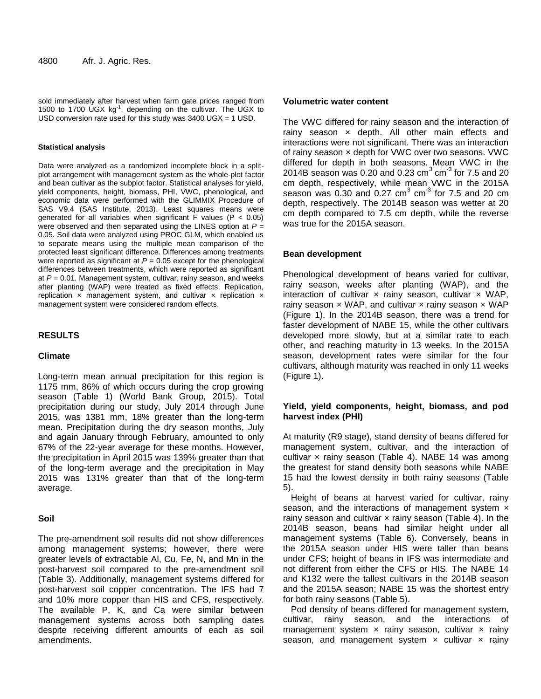sold immediately after harvest when farm gate prices ranged from 1500 to 1700 UGX kg<sup>-1</sup>, depending on the cultivar. The UGX to USD conversion rate used for this study was 3400 UGX = 1 USD.

#### **Statistical analysis**

Data were analyzed as a randomized incomplete block in a splitplot arrangement with management system as the whole-plot factor and bean cultivar as the subplot factor. Statistical analyses for yield, yield components, height, biomass, PHI, VWC, phenological, and economic data were performed with the GLIMMIX Procedure of SAS V9.4 (SAS Institute, 2013). Least squares means were generated for all variables when significant F values ( $P < 0.05$ ) were observed and then separated using the LINES option at *P* = 0.05. Soil data were analyzed using PROC GLM, which enabled us to separate means using the multiple mean comparison of the protected least significant difference. Differences among treatments were reported as significant at  $P = 0.05$  except for the phenological differences between treatments, which were reported as significant at *P* = 0.01. Management system, cultivar, rainy season, and weeks after planting (WAP) were treated as fixed effects. Replication, replication  $x$  management system, and cultivar  $x$  replication  $x$ management system were considered random effects.

# **RESULTS**

# **Climate**

Long-term mean annual precipitation for this region is 1175 mm, 86% of which occurs during the crop growing season (Table 1) (World Bank Group, 2015). Total precipitation during our study, July 2014 through June 2015, was 1381 mm, 18% greater than the long-term mean. Precipitation during the dry season months, July and again January through February, amounted to only 67% of the 22-year average for these months. However, the precipitation in April 2015 was 139% greater than that of the long-term average and the precipitation in May 2015 was 131% greater than that of the long-term average.

# **Soil**

The pre-amendment soil results did not show differences among management systems; however, there were greater levels of extractable Al, Cu, Fe, N, and Mn in the post-harvest soil compared to the pre-amendment soil (Table 3). Additionally, management systems differed for post-harvest soil copper concentration. The IFS had 7 and 10% more copper than HIS and CFS, respectively. The available P, K, and Ca were similar between management systems across both sampling dates despite receiving different amounts of each as soil amendments.

#### **Volumetric water content**

The VWC differed for rainy season and the interaction of rainy season  $\times$  depth. All other main effects and interactions were not significant. There was an interaction of rainy season x depth for VWC over two seasons. VWC differed for depth in both seasons. Mean VWC in the 2014B season was 0.20 and 0.23  $\text{cm}^3$  cm<sup>-3</sup> for 7.5 and 20 cm depth, respectively, while mean VWC in the 2015A season was 0.30 and 0.27  $\text{cm}^3$   $\text{cm}^3$  for 7.5 and 20  $\text{cm}$ depth, respectively. The 2014B season was wetter at 20 cm depth compared to 7.5 cm depth, while the reverse was true for the 2015A season.

#### **Bean development**

Phenological development of beans varied for cultivar, rainy season, weeks after planting (WAP), and the interaction of cultivar  $\times$  rainy season, cultivar  $\times$  WAP, rainy season  $\times$  WAP, and cultivar  $\times$  rainy season  $\times$  WAP (Figure 1). In the 2014B season, there was a trend for faster development of NABE 15, while the other cultivars developed more slowly, but at a similar rate to each other, and reaching maturity in 13 weeks. In the 2015A season, development rates were similar for the four cultivars, although maturity was reached in only 11 weeks (Figure 1).

# **Yield, yield components, height, biomass, and pod harvest index (PHI)**

At maturity (R9 stage), stand density of beans differed for management system, cultivar, and the interaction of cultivar  $\times$  rainy season (Table 4). NABE 14 was among the greatest for stand density both seasons while NABE 15 had the lowest density in both rainy seasons (Table 5).

Height of beans at harvest varied for cultivar, rainy season, and the interactions of management system x rainy season and cultivar  $\times$  rainy season (Table 4). In the 2014B season, beans had similar height under all management systems (Table 6). Conversely, beans in the 2015A season under HIS were taller than beans under CFS; height of beans in IFS was intermediate and not different from either the CFS or HIS. The NABE 14 and K132 were the tallest cultivars in the 2014B season and the 2015A season; NABE 15 was the shortest entry for both rainy seasons (Table 5).

Pod density of beans differed for management system, cultivar, rainy season, and the interactions of management system  $\times$  rainy season, cultivar  $\times$  rainy season, and management system  $\times$  cultivar  $\times$  rainy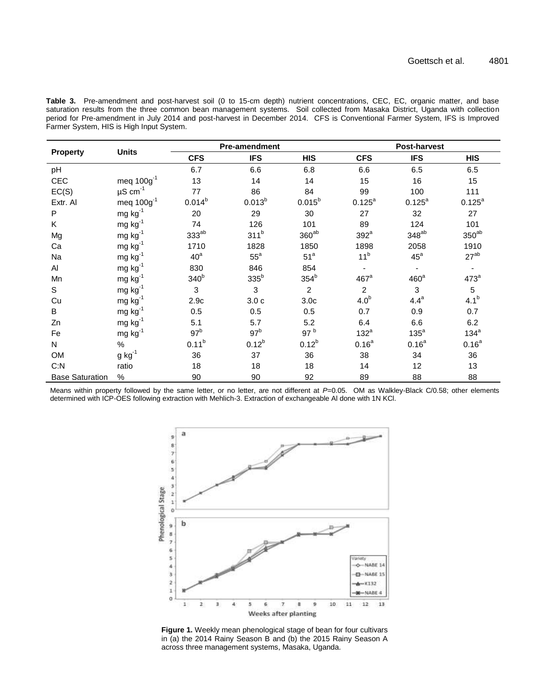**Table 3.** Pre-amendment and post-harvest soil (0 to 15-cm depth) nutrient concentrations, CEC, EC, organic matter, and base saturation results from the three common bean management systems. Soil collected from Masaka District, Uganda with collection period for Pre-amendment in July 2014 and post-harvest in December 2014. CFS is Conventional Farmer System, IFS is Improved Farmer System, HIS is High Input System.

| <b>Property</b>        | <b>Units</b>             |                  | <b>Pre-amendment</b> |                   |                    | <b>Post-harvest</b> |                  |  |
|------------------------|--------------------------|------------------|----------------------|-------------------|--------------------|---------------------|------------------|--|
|                        |                          | <b>CFS</b>       | <b>IFS</b>           | <b>HIS</b>        | <b>CFS</b>         | <b>IFS</b>          | <b>HIS</b>       |  |
| pH                     |                          | 6.7              | 6.6                  | 6.8               | 6.6                | 6.5                 | 6.5              |  |
| CEC                    | meq $100g^{-1}$          | 13               | 14                   | 14                | 15                 | 16                  | 15               |  |
| EC(S)                  | $\mu$ S cm <sup>-1</sup> | 77               | 86                   | 84                | 99                 | 100                 | 111              |  |
| Extr. Al               | meq $100g^{-1}$          | $0.014^{b}$      | $0.013^{b}$          | $0.015^{b}$       | $0.125^{a}$        | $0.125^{a}$         | $0.125^{a}$      |  |
| P                      | $mg kg^{-1}$             | 20               | 29                   | 30                | 27                 | 32                  | 27               |  |
| K                      | $mg kg^{-1}$             | 74               | 126                  | 101               | 89                 | 124                 | 101              |  |
| Mg                     | $mg kg^{-1}$             | $333^{ab}$       | 311 <sup>b</sup>     | 360 <sup>ab</sup> | $392^a$            | 348 <sup>ab</sup>   | $350^{ab}$       |  |
| Ca                     | $mg kg^{-1}$             | 1710             | 1828                 | 1850              | 1898               | 2058                | 1910             |  |
| Na                     | $mg kg^{-1}$             | 40 <sup>a</sup>  | $55^{\circ}$         | 51 <sup>a</sup>   | 11 <sup>b</sup>    | $45^{\circ}$        | $27^{ab}$        |  |
| AI                     | $mg kg^{-1}$             | 830              | 846                  | 854               |                    |                     |                  |  |
| Mn                     | $mg kg^{-1}$             | 340 <sup>b</sup> | $335^b$              | 354 <sup>b</sup>  | $467$ <sup>a</sup> | 460 <sup>a</sup>    | $473^a$          |  |
| S.                     | $mg kg^{-1}$             | 3                | 3                    | $\overline{2}$    | $\overline{2}$     | 3                   | 5                |  |
| Cu                     | mg $kg^{-1}$             | 2.9c             | 3.0c                 | 3.0 <sub>c</sub>  | 4.0 <sup>b</sup>   | $4.4^a$             | 4.1 <sup>b</sup> |  |
| B                      | $mg kg^{-1}$             | 0.5              | 0.5                  | 0.5               | 0.7                | 0.9                 | 0.7              |  |
| Zn                     | $mg kg^{-1}$             | 5.1              | 5.7                  | 5.2               | 6.4                | 6.6                 | 6.2              |  |
| Fe                     | $mg kg^{-1}$             | 97 <sup>b</sup>  | 97 <sup>b</sup>      | 97 <sup>b</sup>   | $132^a$            | $135^a$             | $134^a$          |  |
| N.                     | $\%$                     | $0.11^{b}$       | $0.12^{b}$           | $0.12^{b}$        | $0.16^{a}$         | $0.16^{a}$          | $0.16^{a}$       |  |
| <b>OM</b>              | $g kg^{-1}$              | 36               | 37                   | 36                | 38                 | 34                  | 36               |  |
| C: N                   | ratio                    | 18               | 18                   | 18                | 14                 | 12                  | 13               |  |
| <b>Base Saturation</b> | %                        | 90               | 90                   | 92                | 89                 | 88                  | 88               |  |

Means within property followed by the same letter, or no letter, are not different at P=0.05. OM as Walkley-Black C/0.58; other elements determined with ICP-OES following extraction with Mehlich-3. Extraction of exchangeable Al done with 1N KCl.



**Figure 1.** Weekly mean phenological stage of bean for four cultivars in (a) the 2014 Rainy Season B and (b) the 2015 Rainy Season A across three management systems, Masaka, Uganda.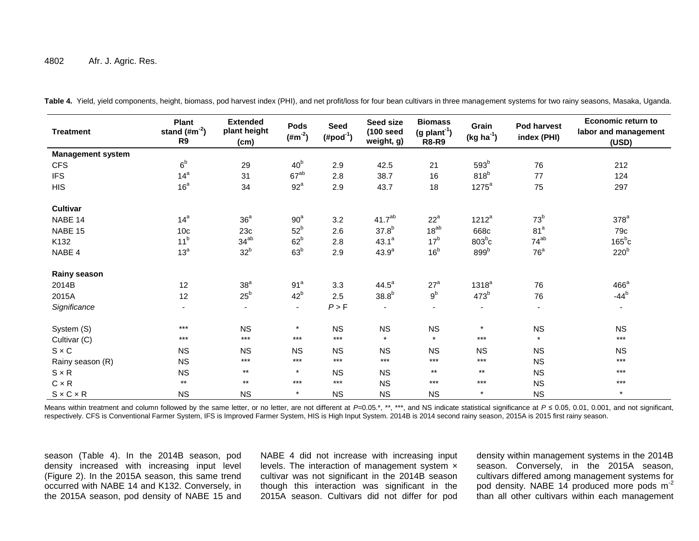#### 4802 Afr. J. Agric. Res.

| <b>Treatment</b>         | Plant<br>stand $(\text{\#m}^2)$<br>R9 | <b>Extended</b><br>plant height<br>(cm) | <b>Pods</b><br>$(\#m^{-2})$ | <b>Seed</b><br>$(Hpod^{-1})$ | Seed size<br>$(100 \text{ seed})$<br>weight, g) | <b>Biomass</b><br>$(g$ plant <sup>-1</sup> )<br><b>R8-R9</b> | Grain<br>$(kg ha-1)$     | Pod harvest<br>index (PHI) | <b>Economic return to</b><br>labor and management<br>(USD) |
|--------------------------|---------------------------------------|-----------------------------------------|-----------------------------|------------------------------|-------------------------------------------------|--------------------------------------------------------------|--------------------------|----------------------------|------------------------------------------------------------|
| <b>Management system</b> |                                       |                                         |                             |                              |                                                 |                                                              |                          |                            |                                                            |
| <b>CFS</b>               | 6 <sup>b</sup>                        | 29                                      | 40 <sup>b</sup>             | 2.9                          | 42.5                                            | 21                                                           | 593 <sup>b</sup>         | 76                         | 212                                                        |
| <b>IFS</b>               | 14 <sup>a</sup>                       | 31                                      | $67^{ab}$                   | 2.8                          | 38.7                                            | 16                                                           | $818^b$                  | 77                         | 124                                                        |
| <b>HIS</b>               | 16 <sup>a</sup>                       | 34                                      | $92^a$                      | 2.9                          | 43.7                                            | 18                                                           | $1275^a$                 | 75                         | 297                                                        |
| Cultivar                 |                                       |                                         |                             |                              |                                                 |                                                              |                          |                            |                                                            |
| NABE 14                  | 14 <sup>a</sup>                       | 36 <sup>a</sup>                         | 90 <sup>a</sup>             | 3.2                          | 41.7 <sup>ab</sup>                              | $22^a$                                                       | $1212^a$                 | 73 <sup>b</sup>            | $378^a$                                                    |
| NABE 15                  | 10 <sub>c</sub>                       | 23c                                     | $52^b$                      | 2.6                          | 37.8 <sup>b</sup>                               | $18^{ab}$                                                    | 668c                     | 81 <sup>a</sup>            | 79c                                                        |
| K132                     | 11 <sup>b</sup>                       | $34^{ab}$                               | 62 <sup>b</sup>             | 2.8                          | $43.1^a$                                        | 17 <sup>b</sup>                                              | $803^b$ c                | $74^{ab}$                  | $165^{\circ}c$                                             |
| NABE 4                   | 13 <sup>a</sup>                       | 32 <sup>b</sup>                         | 63 <sup>b</sup>             | 2.9                          | $43.9^{a}$                                      | 16 <sup>b</sup>                                              | 899 <sup>b</sup>         | 76 <sup>a</sup>            | 220 <sup>b</sup>                                           |
| Rainy season             |                                       |                                         |                             |                              |                                                 |                                                              |                          |                            |                                                            |
| 2014B                    | 12                                    | 38 <sup>a</sup>                         | 91 <sup>a</sup>             | 3.3                          | $44.5^{\circ}$                                  | $27^a$                                                       | 1318 <sup>a</sup>        | 76                         | $466^a$                                                    |
| 2015A                    | 12                                    | $25^{\rm b}$                            | 42 <sup>b</sup>             | 2.5                          | 38.8 <sup>b</sup>                               | $9^{\rm b}$                                                  | $473^b$                  | 76                         | $-44^b$                                                    |
| Significance             | $\blacksquare$                        | $\blacksquare$                          | $\overline{\phantom{a}}$    | P > F                        | $\overline{\phantom{a}}$                        | $\overline{\phantom{a}}$                                     | $\overline{\phantom{a}}$ | $\overline{\phantom{a}}$   | $\sim$                                                     |
| System (S)               | $***$                                 | <b>NS</b>                               | $\pmb{\star}$               | <b>NS</b>                    | <b>NS</b>                                       | NS                                                           | $\pmb{\ast}$             | <b>NS</b>                  | <b>NS</b>                                                  |
| Cultivar (C)             | $***$                                 | $***$                                   | $***$                       | $***$                        | $\star$                                         | $\star$                                                      | $***$                    | $\star$                    | $***$                                                      |
| $S \times C$             | <b>NS</b>                             | <b>NS</b>                               | <b>NS</b>                   | <b>NS</b>                    | <b>NS</b>                                       | <b>NS</b>                                                    | <b>NS</b>                | <b>NS</b>                  | <b>NS</b>                                                  |
| Rainy season (R)         | <b>NS</b>                             | $***$                                   | $***$                       | $***$                        | $***$                                           | $***$                                                        | $***$                    | <b>NS</b>                  | ***                                                        |
| $S \times R$             | <b>NS</b>                             | $^{\star\star}$                         | $\pmb{\star}$               | <b>NS</b>                    | <b>NS</b>                                       | $***$                                                        | $***$                    | <b>NS</b>                  | ***                                                        |
| $C \times R$             | $***$                                 | $***$                                   | $***$                       | $***$                        | <b>NS</b>                                       | $***$                                                        | $***$                    | <b>NS</b>                  | $***$                                                      |
| $S \times C \times R$    | <b>NS</b>                             | <b>NS</b>                               | $\star$                     | <b>NS</b>                    | <b>NS</b>                                       | <b>NS</b>                                                    | $\star$                  | <b>NS</b>                  | $\star$                                                    |

**Table 4.** Yield, yield components, height, biomass, pod harvest index (PHI), and net profit/loss for four bean cultivars in three management systems for two rainy seasons, Masaka, Uganda.

Means within treatment and column followed by the same letter, or no letter, are not different at *P*=0.05.\*, \*\*, \*\*\*, and NS indicate statistical significance at *P* ≤ 0.05, 0.01, 0.001, and not significant, respectively. CFS is Conventional Farmer System, IFS is Improved Farmer System, HIS is High Input System. 2014B is 2014 second rainy season, 2015A is 2015 first rainy season.

season (Table 4). In the 2014B season, pod density increased with increasing input level (Figure 2). In the 2015A season, this same trend occurred with NABE 14 and K132. Conversely, in the 2015A season, pod density of NABE 15 and

NABE 4 did not increase with increasing input levels. The interaction of management system × cultivar was not significant in the 2014B season though this interaction was significant in the 2015A season. Cultivars did not differ for pod density within management systems in the 2014B season. Conversely, in the 2015A season, cultivars differed among management systems for pod density. NABE 14 produced more pods m-2 than all other cultivars within each management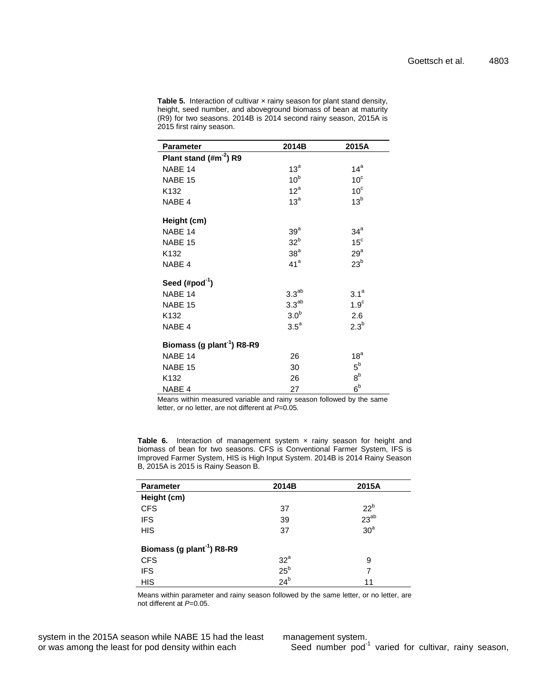| <b>Parameter</b>                       | 2014B             | 2015A            |
|----------------------------------------|-------------------|------------------|
| Plant stand (#m <sup>-2</sup> ) R9     |                   |                  |
| NABE 14                                | $13^a$            | $14^a$           |
| NABE 15                                | 10 <sup>b</sup>   | 10 <sup>c</sup>  |
| K <sub>132</sub>                       | 12 <sup>a</sup>   | 10 <sup>c</sup>  |
| NABE 4                                 | 13 <sup>a</sup>   | 13 <sup>b</sup>  |
| Height (cm)                            |                   |                  |
| NABE 14                                | 39 <sup>a</sup>   | 34 <sup>a</sup>  |
| NABE 15                                | 32 <sup>b</sup>   | 15 <sup>c</sup>  |
| K132                                   | 38 <sup>a</sup>   | $29^a$           |
| NABE 4                                 | 41 <sup>a</sup>   | 23 <sup>b</sup>  |
| Seed $(\#pod^{-1})$                    |                   |                  |
| NABE 14                                | 3.3 <sup>ab</sup> | $3.1^a$          |
| NABE 15                                | 3.3 <sup>ab</sup> | 1.9 <sup>c</sup> |
| K132                                   | 3.0 <sup>b</sup>  | 2.6              |
| NABE 4                                 | $3.5^{\circ}$     | $2.3^b$          |
| Biomass (g plant <sup>-1</sup> ) R8-R9 |                   |                  |
| NABE 14                                | 26                | 18 <sup>a</sup>  |
| NABE 15                                | 30                | $5^{\rm b}$      |
| K <sub>132</sub>                       | 26                | 8 <sup>b</sup>   |
| NABE 4                                 | 27                | 6 <sup>b</sup>   |

Table 5. Interaction of cultivar x rainy season for plant stand density, height, seed number, and aboveground biomass of bean at maturity (R9) for two seasons. 2014B is 2014 second rainy season, 2015A is 2015 first rainy season.

Means within measured variable and rainy season followed by the same letter, or no letter, are not different at *P*=0.05.

Table 6. Interaction of management system x rainy season for height and biomass of bean for two seasons. CFS is Conventional Farmer System, IFS is Improved Farmer System, HIS is High Input System. 2014B is 2014 Rainy Season B, 2015A is 2015 is Rainy Season B.

| <b>Parameter</b>                       | 2014B               | 2015A           |
|----------------------------------------|---------------------|-----------------|
| Height (cm)                            |                     |                 |
| <b>CFS</b>                             | 37                  | 22 <sup>b</sup> |
| <b>IFS</b>                             | 39                  | $23^{ab}$       |
| <b>HIS</b>                             | 37                  | 30 <sup>a</sup> |
| Biomass (g plant <sup>-1</sup> ) R8-R9 |                     |                 |
| <b>CFS</b>                             | $\frac{32^a}{25^b}$ | 9               |
| <b>IFS</b>                             |                     | 7               |
| <b>HIS</b>                             | 24 <sup>b</sup>     | 11              |

Means within parameter and rainy season followed by the same letter, or no letter, are not different at *P*=0.05.

system in the 2015A season while NABE 15 had the least or was among the least for pod density within each

management system.

Seed number pod<sup>-1</sup> varied for cultivar, rainy season,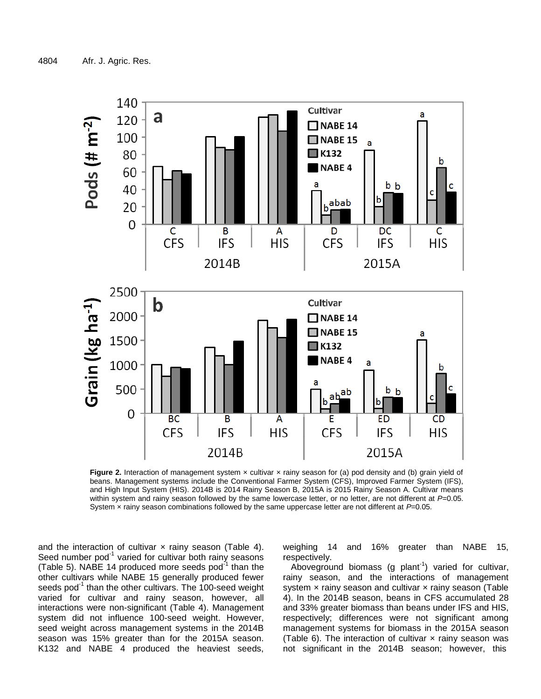

**Figure 2.** Interaction of management system x cultivar x rainy season for (a) pod density and (b) grain yield of beans. Management systems include the Conventional Farmer System (CFS), Improved Farmer System (IFS), and High Input System (HIS). 2014B is 2014 Rainy Season B, 2015A is 2015 Rainy Season A. Cultivar means within system and rainy season followed by the same lowercase letter, or no letter, are not different at P=0.05. System × rainy season combinations followed by the same uppercase letter are not different at *P*=0.05.

and the interaction of cultivar  $\times$  rainy season (Table 4). Seed number pod $1$  varied for cultivar both rainy seasons (Table 5). NABE 14 produced more seeds pod $^{-1}$  than the other cultivars while NABE 15 generally produced fewer seeds pod<sup>-1</sup> than the other cultivars. The 100-seed weight varied for cultivar and rainy season, however, all interactions were non-significant (Table 4). Management system did not influence 100-seed weight. However, seed weight across management systems in the 2014B season was 15% greater than for the 2015A season. K132 and NABE 4 produced the heaviest seeds,

weighing 14 and 16% greater than NABE 15, respectively.

Aboveground biomass (g plant<sup>-1</sup>) varied for cultivar, rainy season, and the interactions of management system  $\times$  rainy season and cultivar  $\times$  rainy season (Table 4). In the 2014B season, beans in CFS accumulated 28 and 33% greater biomass than beans under IFS and HIS, respectively; differences were not significant among management systems for biomass in the 2015A season (Table 6). The interaction of cultivar  $\times$  rainy season was not significant in the 2014B season; however, this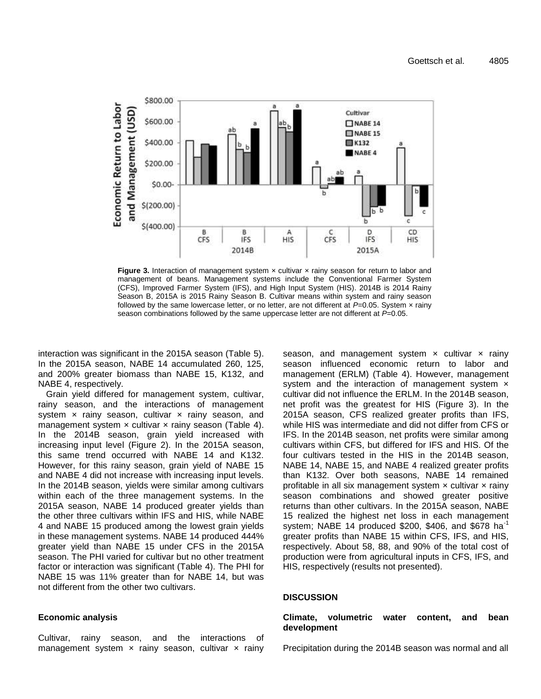

**Figure 3.** Interaction of management system x cultivar x rainy season for return to labor and management of beans. Management systems include the Conventional Farmer System (CFS), Improved Farmer System (IFS), and High Input System (HIS). 2014B is 2014 Rainy Season B, 2015A is 2015 Rainy Season B. Cultivar means within system and rainy season followed by the same lowercase letter, or no letter, are not different at *P*=0.05. System x rainy season combinations followed by the same uppercase letter are not different at *P*=0.05.

interaction was significant in the 2015A season (Table 5). In the 2015A season, NABE 14 accumulated 260, 125, and 200% greater biomass than NABE 15, K132, and NABE 4, respectively.

Grain yield differed for management system, cultivar, rainy season, and the interactions of management system  $x$  rainy season, cultivar  $x$  rainy season, and management system  $\times$  cultivar  $\times$  rainy season (Table 4). In the 2014B season, grain yield increased with increasing input level (Figure 2). In the 2015A season, this same trend occurred with NABE 14 and K132. However, for this rainy season, grain yield of NABE 15 and NABE 4 did not increase with increasing input levels. In the 2014B season, yields were similar among cultivars within each of the three management systems. In the 2015A season, NABE 14 produced greater yields than the other three cultivars within IFS and HIS, while NABE 4 and NABE 15 produced among the lowest grain yields in these management systems. NABE 14 produced 444% greater yield than NABE 15 under CFS in the 2015A season. The PHI varied for cultivar but no other treatment factor or interaction was significant (Table 4). The PHI for NABE 15 was 11% greater than for NABE 14, but was not different from the other two cultivars.

#### **Economic analysis**

Cultivar, rainy season, and the interactions of management system  $\times$  rainy season, cultivar  $\times$  rainy season, and management system  $\times$  cultivar  $\times$  rainy season influenced economic return to labor and management (ERLM) (Table 4). However, management system and the interaction of management system  $\times$ cultivar did not influence the ERLM. In the 2014B season, net profit was the greatest for HIS (Figure 3). In the 2015A season, CFS realized greater profits than IFS, while HIS was intermediate and did not differ from CFS or IFS. In the 2014B season, net profits were similar among cultivars within CFS, but differed for IFS and HIS. Of the four cultivars tested in the HIS in the 2014B season, NABE 14, NABE 15, and NABE 4 realized greater profits than K132. Over both seasons, NABE 14 remained profitable in all six management system  $\times$  cultivar  $\times$  rainy season combinations and showed greater positive returns than other cultivars. In the 2015A season, NABE 15 realized the highest net loss in each management system; NABE 14 produced \$200, \$406, and \$678 ha<sup>-1</sup> greater profits than NABE 15 within CFS, IFS, and HIS, respectively. About 58, 88, and 90% of the total cost of production were from agricultural inputs in CFS, IFS, and HIS, respectively (results not presented).

#### **DISCUSSION**

#### **Climate, volumetric water content, and bean development**

Precipitation during the 2014B season was normal and all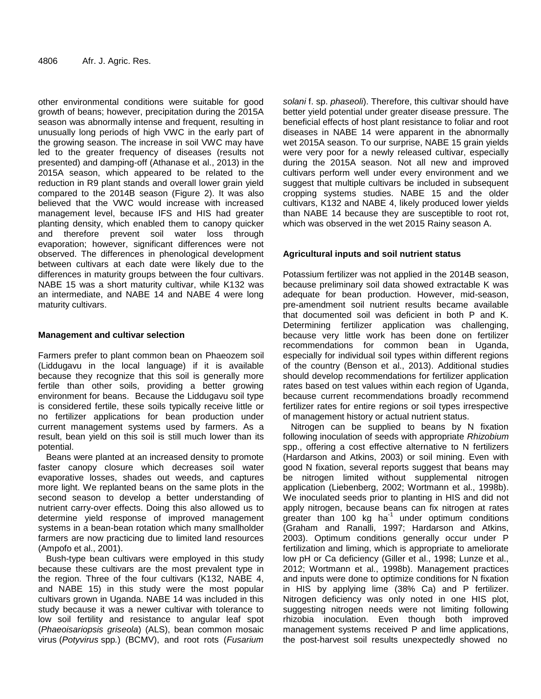other environmental conditions were suitable for good growth of beans; however, precipitation during the 2015A season was abnormally intense and frequent, resulting in unusually long periods of high VWC in the early part of the growing season. The increase in soil VWC may have led to the greater frequency of diseases (results not presented) and damping-off (Athanase et al., 2013) in the 2015A season, which appeared to be related to the reduction in R9 plant stands and overall lower grain yield compared to the 2014B season (Figure 2). It was also believed that the VWC would increase with increased management level, because IFS and HIS had greater planting density, which enabled them to canopy quicker and therefore prevent soil water loss through evaporation; however, significant differences were not observed. The differences in phenological development between cultivars at each date were likely due to the differences in maturity groups between the four cultivars. NABE 15 was a short maturity cultivar, while K132 was an intermediate, and NABE 14 and NABE 4 were long maturity cultivars.

# **Management and cultivar selection**

Farmers prefer to plant common bean on Phaeozem soil (Liddugavu in the local language) if it is available because they recognize that this soil is generally more fertile than other soils, providing a better growing environment for beans. Because the Liddugavu soil type is considered fertile, these soils typically receive little or no fertilizer applications for bean production under current management systems used by farmers. As a result, bean yield on this soil is still much lower than its potential.

Beans were planted at an increased density to promote faster canopy closure which decreases soil water evaporative losses, shades out weeds, and captures more light. We replanted beans on the same plots in the second season to develop a better understanding of nutrient carry-over effects. Doing this also allowed us to determine yield response of improved management systems in a bean-bean rotation which many smallholder farmers are now practicing due to limited land resources (Ampofo et al., 2001).

Bush-type bean cultivars were employed in this study because these cultivars are the most prevalent type in the region. Three of the four cultivars (K132, NABE 4, and NABE 15) in this study were the most popular cultivars grown in Uganda. NABE 14 was included in this study because it was a newer cultivar with tolerance to low soil fertility and resistance to angular leaf spot (*Phaeoisariopsis griseola*) (ALS), bean common mosaic virus (*Potyvirus* spp*.*) (BCMV), and root rots (*Fusarium* 

*solani* f. sp. *phaseoli*). Therefore, this cultivar should have better yield potential under greater disease pressure. The beneficial effects of host plant resistance to foliar and root diseases in NABE 14 were apparent in the abnormally wet 2015A season. To our surprise, NABE 15 grain yields were very poor for a newly released cultivar, especially during the 2015A season. Not all new and improved cultivars perform well under every environment and we suggest that multiple cultivars be included in subsequent cropping systems studies. NABE 15 and the older cultivars, K132 and NABE 4, likely produced lower yields than NABE 14 because they are susceptible to root rot, which was observed in the wet 2015 Rainy season A.

# **Agricultural inputs and soil nutrient status**

Potassium fertilizer was not applied in the 2014B season, because preliminary soil data showed extractable K was adequate for bean production. However, mid-season, pre-amendment soil nutrient results became available that documented soil was deficient in both P and K. Determining fertilizer application was challenging, because very little work has been done on fertilizer recommendations for common bean in Uganda, especially for individual soil types within different regions of the country (Benson et al., 2013). Additional studies should develop recommendations for fertilizer application rates based on test values within each region of Uganda, because current recommendations broadly recommend fertilizer rates for entire regions or soil types irrespective of management history or actual nutrient status.

Nitrogen can be supplied to beans by N fixation following inoculation of seeds with appropriate *Rhizobium*  spp., offering a cost effective alternative to N fertilizers (Hardarson and Atkins, 2003) or soil mining. Even with good N fixation, several reports suggest that beans may be nitrogen limited without supplemental nitrogen application (Liebenberg, 2002; Wortmann et al., 1998b). We inoculated seeds prior to planting in HIS and did not apply nitrogen, because beans can fix nitrogen at rates  $g$ reater than 100 kg ha<sup>-1</sup> under optimum conditions (Graham and Ranalli, 1997; Hardarson and Atkins, 2003). Optimum conditions generally occur under P fertilization and liming, which is appropriate to ameliorate low pH or Ca deficiency (Giller et al., 1998; Lunze et al., 2012; Wortmann et al., 1998b). Management practices and inputs were done to optimize conditions for N fixation in HIS by applying lime (38% Ca) and P fertilizer. Nitrogen deficiency was only noted in one HIS plot, suggesting nitrogen needs were not limiting following rhizobia inoculation. Even though both improved management systems received P and lime applications, the post-harvest soil results unexpectedly showed no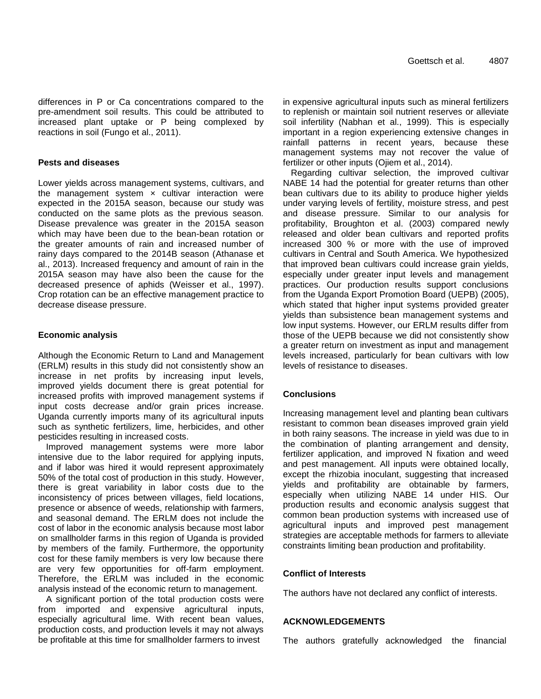differences in P or Ca concentrations compared to the pre-amendment soil results. This could be attributed to increased plant uptake or P being complexed by reactions in soil (Fungo et al., 2011).

#### **Pests and diseases**

Lower yields across management systems, cultivars, and the management system  $\times$  cultivar interaction were expected in the 2015A season, because our study was conducted on the same plots as the previous season. Disease prevalence was greater in the 2015A season which may have been due to the bean-bean rotation or the greater amounts of rain and increased number of rainy days compared to the 2014B season (Athanase et al., 2013). Increased frequency and amount of rain in the 2015A season may have also been the cause for the decreased presence of aphids (Weisser et al., 1997). Crop rotation can be an effective management practice to decrease disease pressure.

#### **Economic analysis**

Although the Economic Return to Land and Management (ERLM) results in this study did not consistently show an increase in net profits by increasing input levels, improved yields document there is great potential for increased profits with improved management systems if input costs decrease and/or grain prices increase. Uganda currently imports many of its agricultural inputs such as synthetic fertilizers, lime, herbicides, and other pesticides resulting in increased costs.

Improved management systems were more labor intensive due to the labor required for applying inputs, and if labor was hired it would represent approximately 50% of the total cost of production in this study. However, there is great variability in labor costs due to the inconsistency of prices between villages, field locations, presence or absence of weeds, relationship with farmers, and seasonal demand. The ERLM does not include the cost of labor in the economic analysis because most labor on smallholder farms in this region of Uganda is provided by members of the family. Furthermore, the opportunity cost for these family members is very low because there are very few opportunities for off-farm employment. Therefore, the ERLM was included in the economic analysis instead of the economic return to management.

A significant portion of the total production costs were from imported and expensive agricultural inputs, especially agricultural lime. With recent bean values, production costs, and production levels it may not always be profitable at this time for smallholder farmers to invest

in expensive agricultural inputs such as mineral fertilizers to replenish or maintain soil nutrient reserves or alleviate soil infertility (Nabhan et al., 1999). This is especially important in a region experiencing extensive changes in rainfall patterns in recent years, because these management systems may not recover the value of fertilizer or other inputs (Ojiem et al., 2014).

Regarding cultivar selection, the improved cultivar NABE 14 had the potential for greater returns than other bean cultivars due to its ability to produce higher yields under varying levels of fertility, moisture stress, and pest and disease pressure. Similar to our analysis for profitability, Broughton et al. (2003) compared newly released and older bean cultivars and reported profits increased 300 % or more with the use of improved cultivars in Central and South America. We hypothesized that improved bean cultivars could increase grain yields, especially under greater input levels and management practices. Our production results support conclusions from the Uganda Export Promotion Board (UEPB) (2005), which stated that higher input systems provided greater yields than subsistence bean management systems and low input systems. However, our ERLM results differ from those of the UEPB because we did not consistently show a greater return on investment as input and management levels increased, particularly for bean cultivars with low levels of resistance to diseases.

# **Conclusions**

Increasing management level and planting bean cultivars resistant to common bean diseases improved grain yield in both rainy seasons. The increase in yield was due to in the combination of planting arrangement and density, fertilizer application, and improved N fixation and weed and pest management. All inputs were obtained locally, except the rhizobia inoculant, suggesting that increased yields and profitability are obtainable by farmers, especially when utilizing NABE 14 under HIS. Our production results and economic analysis suggest that common bean production systems with increased use of agricultural inputs and improved pest management strategies are acceptable methods for farmers to alleviate constraints limiting bean production and profitability.

#### **Conflict of Interests**

The authors have not declared any conflict of interests.

#### **ACKNOWLEDGEMENTS**

The authors gratefully acknowledged the financial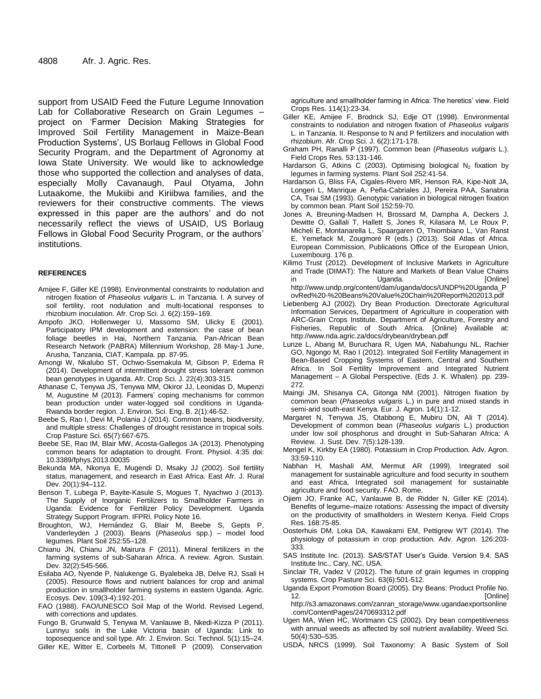support from USAID Feed the Future Legume Innovation Lab for Collaborative Research on Grain Legumes – project on 'Farmer Decision Making Strategies for Improved Soil Fertility Management in Maize-Bean Production Systems', US Borlaug Fellows in Global Food Security Program, and the Department of Agronomy at Iowa State University. We would like to acknowledge those who supported the collection and analyses of data, especially Molly Cavanaugh, Paul Otyama, John Lutaakome, the Mukiibi and Kiriibwa families, and the reviewers for their constructive comments. The views expressed in this paper are the authors' and do not necessarily reflect the views of USAID, US Borlaug Fellows in Global Food Security Program, or the authors' institutions.

#### **REFERENCES**

- Amijee F, Giller KE (1998). Environmental constraints to nodulation and nitrogen fixation of *Phaseolus vulgaris* L. in Tanzania. I. A survey of soil fertility, root nodulation and multi-locational responses to rhizobium inoculation. Afr. Crop Sci. J. 6(2):159–169.
- Ampofo JKO, Hollenweger U, Massomo SM, Ulicky E (2001). Participatory IPM development and extension: the case of bean foliage beetles in Hai, Northern Tanzania. Pan-African Bean Research Network (PABRA) Millennium Workshop, 28 May-1 June, Arusha, Tanzania, CIAT, Kampala. pp. 87-95.
- Amongi W, Nkalubo ST, Ochwo-Ssemakula M, Gibson P, Edema R (2014). Development of intermittent drought stress tolerant common bean genotypes in Uganda. Afr. Crop Sci. J. 22(4):303-315.
- Athanase C, Tenywa JS, Tenywa MM, Okiror JJ, Leonidas D, Mupenzi M, Augustine M (2013). Farmers' coping mechanisms for common bean production under water-logged soil conditions in Uganda-Rwanda border region. J. Environ. Sci. Eng. B. 2(1):46-52.
- Beebe S, Rao I, Devi M, Polania J (2014). Common beans, biodiversity, and multiple stress: Challenges of drought resistance in tropical soils. Crop Pasture Sci. 65(7):667-675.
- Beebe SE, Rao IM, Blair MW, Acosta-Gallegos JA (2013). Phenotyping common beans for adaptation to drought. Front. Physiol. 4:35 doi: 10.3389/fphys.2013.00035
- Bekunda MA, Nkonya E, Mugendi D, Msaky JJ (2002). Soil fertility status, management, and research in East Africa. East Afr. J. Rural Dev. 20(1):94–112.
- Benson T, Lubega P, Bayite-Kasule S, Mogues T, Nyachwo J (2013). The Supply of Inorganic Fertilizers to Smallholder Farmers in Uganda: Evidence for Fertilizer Policy Development. Uganda Strategy Support Program. IFPRI. Policy Note 16.
- Broughton, WJ, Hernández G, Blair M, Beebe S, Gepts P, Vanderleyden J (2003). Beans (*Phaseolus* spp.) – model food legumes. Plant Soil 252:55–128.
- Chianu JN, Chianu JN, Mairura F (2011). Mineral fertilizers in the farming systems of sub-Saharan Africa. A review. Agron. Sustain. Dev. 32(2):545-566.
- Esilaba AO, Nyende P, Nalukenge G, Byalebeka JB, Delve RJ, Ssali H (2005). Resource flows and nutrient balances for crop and animal production in smallholder farming systems in eastern Uganda. Agric. Ecosys. Dev. 109(3-4):192-201.
- FAO (1988). FAO/UNESCO Soil Map of the World. Revised Legend, with corrections and updates.
- Fungo B, Grunwald S, Tenywa M, Vanlauwe B, Nkedi-Kizza P (2011). Lunnyu soils in the Lake Victoria basin of Uganda: Link to toposequence and soil type. Afr. J. Environ. Sci. Technol. 5(1):15–24. Giller KE, Witter E, Corbeels M, Tittonell P (2009). Conservation

agriculture and smallholder farming in Africa: The heretics' view. Field Crops Res. 114(1):23-34.

- Giller KE, Amijee F, Brodrick SJ, Edje OT (1998). Environmental constraints to nodulation and nitrogen fixation of *Phaseolus vulgaris* L. in Tanzania. II. Response to N and P fertilizers and inoculation with rhizobium. Afr. Crop Sci. J. 6(2):171-178.
- Graham PH, Ranalli P (1997). Common bean (*Phaseolus vulgaris* L.). Field Crops Res. 53:131-146.
- Hardarson G, Atkins C (2003). Optimising biological N<sub>2</sub> fixation by legumes in farming systems. Plant Soil 252:41-54.
- Hardarson G, Bliss FA, Cigales-Rivero MR, Henson RA, Kipe-Nolt JA, Longeri L, Manrique A, Peña-Cabriales JJ, Pereira PAA, Sanabria CA, Tsai SM (1993). Genotypic variation in biological nitrogen fixation by common bean. Plant Soil 152:59-70.
- Jones A, Breuning-Madsen H, Brossard M, Dampha A, Deckers J, Dewitte O, Gallali T, Hallett S, Jones R, Kilasara M, Le Roux P, Micheli E, Montanarella L, Spaargaren O, Thiombiano L, Van Ranst E, Yemefack M, Zougmoré R (eds.) (2013). Soil Atlas of Africa. European Commission, Publications Office of the European Union, Luxembourg. 176 p.
- Kilimo Trust (2012). Development of Inclusive Markets in Agriculture and Trade (DIMAT): The Nature and Markets of Bean Value Chains in Communication Uganda. Communication in the Uganda. http://www.undp.org/content/dam/uganda/docs/UNDP%20Uganda\_P
- ovRed%20-%20Beans%20Value%20Chain%20Report%202013.pdf Liebenberg AJ (2002). Dry Bean Production. Directorate Agricultural Information Services, Department of Agriculture in cooperation with ARC-Grain Crops Institute. Department of Agriculture, Forestry and Fisheries, Republic of South Africa. [Online} Available at: <http://www.nda.agric.za/docs/drybean/drybean.pdf>
- Lunze L, Abang M, Buruchara R, Ugen MA, Nabahungu NL, Rachier GO, Ngongo M, Rao I (2012). Integrated Soil Fertility Management in Bean-Based Cropping Systems of Eastern, Central and Southern Africa. In Soil Fertility Improvement and Integrated Nutrient Management – A Global Perspective. (Eds J. K. Whalen). pp. 239- 272.
- Maingi JM, Shisanya CA, Gitonga NM (2001). Nitrogen fixation by common bean (*Phaseolus vulgaris* L.) in pure and mixed stands in semi-arid south-east Kenya. Eur. J. Agron. 14(1):1-12.
- Margaret N, Tenywa JS, Otabbong E, Mubiru DN, Ali T (2014). Development of common bean (*Phaseolus vulgaris* L.) production under low soil phosphorus and drought in Sub-Saharan Africa: A Review. J. Sust. Dev. 7(5):128-139.
- Mengel K, Kirkby EA (1980). Potassium in Crop Production. Adv. Agron. 33:59-110.
- Nabhan H, Mashali AM, Mermut AR (1999). Integrated soil management for sustainable agriculture and food security in southern and east Africa, Integrated soil management for sustainable agriculture and food security. FAO. Rome.
- Ojiem JO, Franke AC, Vanlauwe B, de Ridder N, Giller KE (2014). Benefits of legume–maize rotations: Assessing the impact of diversity on the productivity of smallholders in Western Kenya. Field Crops Res. 168:75-85.
- Oosterhuis DM, Loka DA, Kawakami EM, Pettigrew WT (2014). The physiology of potassium in crop production. Adv. Agron. 126:203- 333.
- SAS Institute Inc. (2013). SAS/STAT User's Guide. Version 9.4. SAS Institute Inc., Cary, NC, USA.
- Sinclair TR, Vadez V (2012). The future of grain legumes in cropping systems. Crop Pasture Sci. 63(6):501-512.
- Uganda Export Promotion Board (2005). Dry Beans: Product Profile No. 12. [Online] [http://s3.amazonaws.com/zanran\\_storage/www.ugandaexportsonline](http://s3.amazonaws.com/zanran_storage/www.ugandaexportsonline.com/ContentPages/2470693312.pdf) [.com/ContentPages/2470693312.pdf](http://s3.amazonaws.com/zanran_storage/www.ugandaexportsonline.com/ContentPages/2470693312.pdf)
- Ugen MA, Wien HC, Wortmann CS (2002). Dry bean competitiveness with annual weeds as affected by soil nutrient availability. Weed Sci. 50(4):530–535.
- USDA, NRCS (1999). Soil Taxonomy: A Basic System of Soil